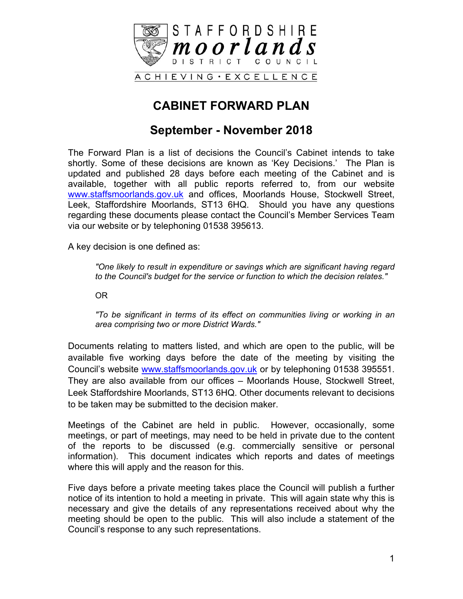

## **CABINET FORWARD PLAN**

### **September - November 2018**

The Forward Plan is a list of decisions the Council's Cabinet intends to take shortly. Some of these decisions are known as 'Key Decisions.' The Plan is updated and published 28 days before each meeting of the Cabinet and is available, together with all public reports referred to, from our website [www.staffsmoorlands.gov.uk](http://www.staffsmoorlands.gov.uk/) and offices, Moorlands House, Stockwell Street, Leek, Staffordshire Moorlands, ST13 6HQ. Should you have any questions regarding these documents please contact the Council's Member Services Team via our website or by telephoning 01538 395613.

A key decision is one defined as:

*"One likely to result in expenditure or savings which are significant having regard to the Council's budget for the service or function to which the decision relates."*

OR

*"To be significant in terms of its effect on communities living or working in an area comprising two or more District Wards."*

Documents relating to matters listed, and which are open to the public, will be available five working days before the date of the meeting by visiting the Council's website [www.staffsmoorlands.gov.uk](http://www.staffsmoorlands.gov.uk/) or by telephoning 01538 395551. They are also available from our offices – Moorlands House, Stockwell Street, Leek Staffordshire Moorlands, ST13 6HQ. Other documents relevant to decisions to be taken may be submitted to the decision maker.

Meetings of the Cabinet are held in public. However, occasionally, some meetings, or part of meetings, may need to be held in private due to the content of the reports to be discussed (e.g. commercially sensitive or personal information). This document indicates which reports and dates of meetings where this will apply and the reason for this.

Five days before a private meeting takes place the Council will publish a further notice of its intention to hold a meeting in private. This will again state why this is necessary and give the details of any representations received about why the meeting should be open to the public. This will also include a statement of the Council's response to any such representations.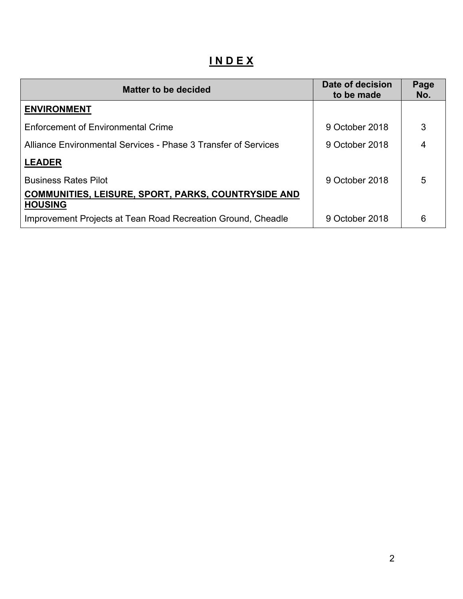# **I N D E X**

| <b>Matter to be decided</b>                                                  | Date of decision<br>to be made | Page<br>No. |
|------------------------------------------------------------------------------|--------------------------------|-------------|
| <b>ENVIRONMENT</b>                                                           |                                |             |
| <b>Enforcement of Environmental Crime</b>                                    | 9 October 2018                 | 3           |
| Alliance Environmental Services - Phase 3 Transfer of Services               | 9 October 2018                 | 4           |
| <b>LEADER</b>                                                                |                                |             |
| <b>Business Rates Pilot</b>                                                  | 9 October 2018                 | 5           |
| <b>COMMUNITIES, LEISURE, SPORT, PARKS, COUNTRYSIDE AND</b><br><b>HOUSING</b> |                                |             |
| Improvement Projects at Tean Road Recreation Ground, Cheadle                 | 9 October 2018                 | 6           |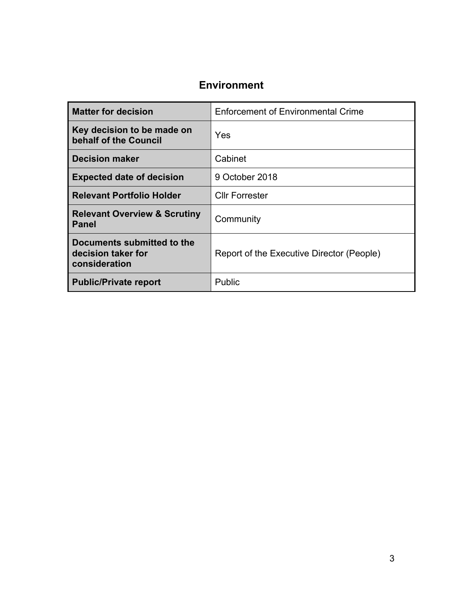#### **Environment**

| <b>Matter for decision</b>                                        | <b>Enforcement of Environmental Crime</b> |
|-------------------------------------------------------------------|-------------------------------------------|
| Key decision to be made on<br>behalf of the Council               | Yes                                       |
| <b>Decision maker</b>                                             | Cabinet                                   |
| <b>Expected date of decision</b>                                  | 9 October 2018                            |
| <b>Relevant Portfolio Holder</b>                                  | <b>Cllr Forrester</b>                     |
| <b>Relevant Overview &amp; Scrutiny</b><br><b>Panel</b>           | Community                                 |
| Documents submitted to the<br>decision taker for<br>consideration | Report of the Executive Director (People) |
| <b>Public/Private report</b>                                      | Public                                    |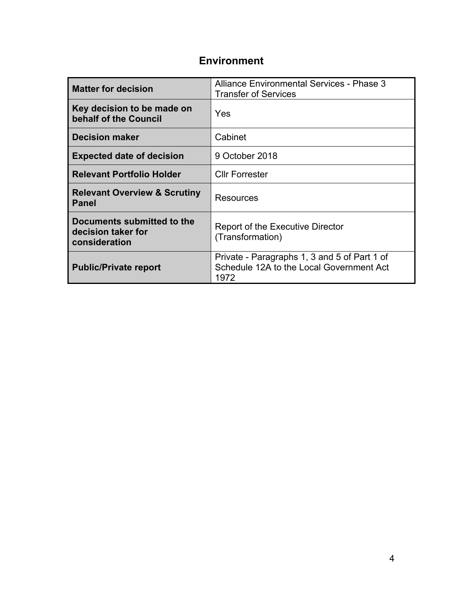## **Environment**

| <b>Matter for decision</b>                                        | Alliance Environmental Services - Phase 3<br><b>Transfer of Services</b>                         |
|-------------------------------------------------------------------|--------------------------------------------------------------------------------------------------|
| Key decision to be made on<br>behalf of the Council               | Yes                                                                                              |
| <b>Decision maker</b>                                             | Cabinet                                                                                          |
| <b>Expected date of decision</b>                                  | 9 October 2018                                                                                   |
| <b>Relevant Portfolio Holder</b>                                  | <b>Cllr Forrester</b>                                                                            |
| <b>Relevant Overview &amp; Scrutiny</b><br><b>Panel</b>           | Resources                                                                                        |
| Documents submitted to the<br>decision taker for<br>consideration | <b>Report of the Executive Director</b><br>(Transformation)                                      |
| <b>Public/Private report</b>                                      | Private - Paragraphs 1, 3 and 5 of Part 1 of<br>Schedule 12A to the Local Government Act<br>1972 |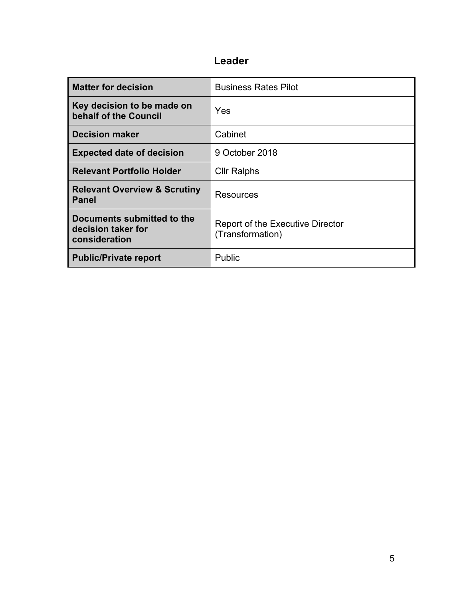## **Leader**

| <b>Matter for decision</b>                                        | <b>Business Rates Pilot</b>                                 |
|-------------------------------------------------------------------|-------------------------------------------------------------|
| Key decision to be made on<br>behalf of the Council               | Yes                                                         |
| <b>Decision maker</b>                                             | Cabinet                                                     |
| <b>Expected date of decision</b>                                  | 9 October 2018                                              |
| <b>Relevant Portfolio Holder</b>                                  | <b>Cllr Ralphs</b>                                          |
| <b>Relevant Overview &amp; Scrutiny</b><br><b>Panel</b>           | Resources                                                   |
| Documents submitted to the<br>decision taker for<br>consideration | <b>Report of the Executive Director</b><br>(Transformation) |
| <b>Public/Private report</b>                                      | Public                                                      |